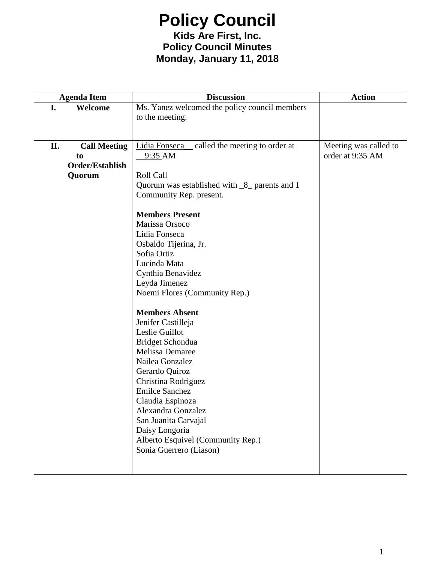### **Policy Council Kids Are First, Inc. Policy Council Minutes Monday, January 11, 2018**

| <b>Agenda Item</b>        | <b>Discussion</b>                             | <b>Action</b>         |
|---------------------------|-----------------------------------------------|-----------------------|
| I.<br>Welcome             | Ms. Yanez welcomed the policy council members |                       |
|                           | to the meeting.                               |                       |
|                           |                                               |                       |
|                           |                                               |                       |
| Π.<br><b>Call Meeting</b> | Lidia Fonseca_called the meeting to order at  | Meeting was called to |
| to                        | $-9:35$ AM                                    | order at 9:35 AM      |
| Order/Establish           |                                               |                       |
| Quorum                    | Roll Call                                     |                       |
|                           | Quorum was established with $8$ parents and 1 |                       |
|                           | Community Rep. present.                       |                       |
|                           | <b>Members Present</b>                        |                       |
|                           | Marissa Orsoco                                |                       |
|                           | Lidia Fonseca                                 |                       |
|                           | Osbaldo Tijerina, Jr.                         |                       |
|                           | Sofia Ortiz                                   |                       |
|                           | Lucinda Mata                                  |                       |
|                           | Cynthia Benavidez                             |                       |
|                           | Leyda Jimenez                                 |                       |
|                           | Noemi Flores (Community Rep.)                 |                       |
|                           | <b>Members Absent</b>                         |                       |
|                           | Jenifer Castilleja                            |                       |
|                           | Leslie Guillot                                |                       |
|                           | Bridget Schondua                              |                       |
|                           | <b>Melissa Demaree</b>                        |                       |
|                           | Nailea Gonzalez                               |                       |
|                           | Gerardo Quiroz                                |                       |
|                           | Christina Rodriguez                           |                       |
|                           | <b>Emilce Sanchez</b>                         |                       |
|                           | Claudia Espinoza                              |                       |
|                           | Alexandra Gonzalez                            |                       |
|                           | San Juanita Carvajal                          |                       |
|                           | Daisy Longoria                                |                       |
|                           | Alberto Esquivel (Community Rep.)             |                       |
|                           | Sonia Guerrero (Liason)                       |                       |
|                           |                                               |                       |
|                           |                                               |                       |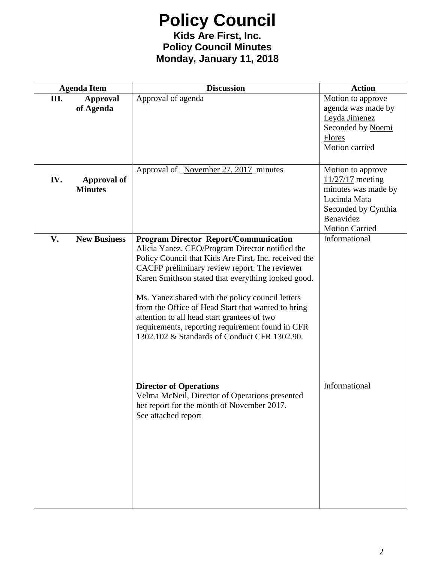#### **Kids Are First, Inc. Policy Council Minutes Monday, January 11, 2018**

|      | <b>Agenda Item</b>                   | <b>Discussion</b>                                                                                                                                                                                                                                                                                                                                                                                                                                                                                                            | <b>Action</b>                                                                                                                               |
|------|--------------------------------------|------------------------------------------------------------------------------------------------------------------------------------------------------------------------------------------------------------------------------------------------------------------------------------------------------------------------------------------------------------------------------------------------------------------------------------------------------------------------------------------------------------------------------|---------------------------------------------------------------------------------------------------------------------------------------------|
| III. | <b>Approval</b><br>of Agenda         | Approval of agenda                                                                                                                                                                                                                                                                                                                                                                                                                                                                                                           | Motion to approve<br>agenda was made by<br>Leyda Jimenez<br>Seconded by Noemi<br><b>Flores</b><br>Motion carried                            |
| IV.  | <b>Approval of</b><br><b>Minutes</b> | Approval of November 27, 2017 minutes                                                                                                                                                                                                                                                                                                                                                                                                                                                                                        | Motion to approve<br>$11/27/17$ meeting<br>minutes was made by<br>Lucinda Mata<br>Seconded by Cynthia<br>Benavidez<br><b>Motion Carried</b> |
| V.   | <b>New Business</b>                  | <b>Program Director Report/Communication</b><br>Alicia Yanez, CEO/Program Director notified the<br>Policy Council that Kids Are First, Inc. received the<br>CACFP preliminary review report. The reviewer<br>Karen Smithson stated that everything looked good.<br>Ms. Yanez shared with the policy council letters<br>from the Office of Head Start that wanted to bring<br>attention to all head start grantees of two<br>requirements, reporting requirement found in CFR<br>1302.102 & Standards of Conduct CFR 1302.90. | Informational                                                                                                                               |
|      |                                      | <b>Director of Operations</b><br>Velma McNeil, Director of Operations presented<br>her report for the month of November 2017.<br>See attached report                                                                                                                                                                                                                                                                                                                                                                         | Informational                                                                                                                               |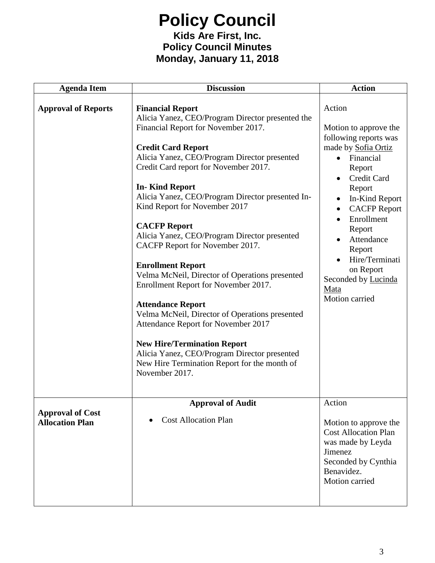#### **Kids Are First, Inc. Policy Council Minutes Monday, January 11, 2018**

| <b>Agenda Item</b>                                | <b>Discussion</b>                                                                                                                                                                                                                                                                                                                                                                                                                                                                                                                                                                                                                                                                                                                                                                                                                                                   | <b>Action</b>                                                                                                                                                                                                                                                                                                                      |
|---------------------------------------------------|---------------------------------------------------------------------------------------------------------------------------------------------------------------------------------------------------------------------------------------------------------------------------------------------------------------------------------------------------------------------------------------------------------------------------------------------------------------------------------------------------------------------------------------------------------------------------------------------------------------------------------------------------------------------------------------------------------------------------------------------------------------------------------------------------------------------------------------------------------------------|------------------------------------------------------------------------------------------------------------------------------------------------------------------------------------------------------------------------------------------------------------------------------------------------------------------------------------|
| <b>Approval of Reports</b>                        | <b>Financial Report</b><br>Alicia Yanez, CEO/Program Director presented the<br>Financial Report for November 2017.<br><b>Credit Card Report</b><br>Alicia Yanez, CEO/Program Director presented<br>Credit Card report for November 2017.<br><b>In-Kind Report</b><br>Alicia Yanez, CEO/Program Director presented In-<br>Kind Report for November 2017<br><b>CACFP Report</b><br>Alicia Yanez, CEO/Program Director presented<br>CACFP Report for November 2017.<br><b>Enrollment Report</b><br>Velma McNeil, Director of Operations presented<br>Enrollment Report for November 2017.<br><b>Attendance Report</b><br>Velma McNeil, Director of Operations presented<br>Attendance Report for November 2017<br><b>New Hire/Termination Report</b><br>Alicia Yanez, CEO/Program Director presented<br>New Hire Termination Report for the month of<br>November 2017. | Action<br>Motion to approve the<br>following reports was<br>made by Sofia Ortiz<br>Financial<br>$\bullet$<br>Report<br>Credit Card<br>Report<br>In-Kind Report<br><b>CACFP Report</b><br>$\bullet$<br>Enrollment<br>Report<br>Attendance<br>Report<br>Hire/Terminati<br>on Report<br>Seconded by Lucinda<br>Mata<br>Motion carried |
| <b>Approval of Cost</b><br><b>Allocation Plan</b> | <b>Approval of Audit</b><br><b>Cost Allocation Plan</b>                                                                                                                                                                                                                                                                                                                                                                                                                                                                                                                                                                                                                                                                                                                                                                                                             | Action<br>Motion to approve the<br><b>Cost Allocation Plan</b><br>was made by Leyda<br>Jimenez<br>Seconded by Cynthia<br>Benavidez.<br>Motion carried                                                                                                                                                                              |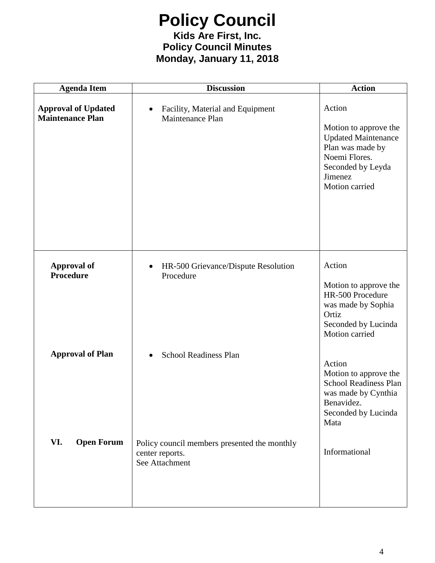#### **Kids Are First, Inc. Policy Council Minutes Monday, January 11, 2018**

| <b>Agenda Item</b>                                    | <b>Discussion</b>                                                                 | <b>Action</b>                                                                                                                                        |
|-------------------------------------------------------|-----------------------------------------------------------------------------------|------------------------------------------------------------------------------------------------------------------------------------------------------|
| <b>Approval of Updated</b><br><b>Maintenance Plan</b> | Facility, Material and Equipment<br>$\bullet$<br>Maintenance Plan                 | Action<br>Motion to approve the<br><b>Updated Maintenance</b><br>Plan was made by<br>Noemi Flores.<br>Seconded by Leyda<br>Jimenez<br>Motion carried |
| <b>Approval of</b><br>Procedure                       | HR-500 Grievance/Dispute Resolution<br>$\bullet$<br>Procedure                     | Action<br>Motion to approve the<br>HR-500 Procedure<br>was made by Sophia<br>Ortiz<br>Seconded by Lucinda<br>Motion carried                          |
| <b>Approval of Plan</b>                               | <b>School Readiness Plan</b><br>$\bullet$                                         | Action<br>Motion to approve the<br><b>School Readiness Plan</b><br>was made by Cynthia<br>Benavidez.<br>Seconded by Lucinda<br>Mata                  |
| VI.<br><b>Open Forum</b>                              | Policy council members presented the monthly<br>center reports.<br>See Attachment | Informational                                                                                                                                        |